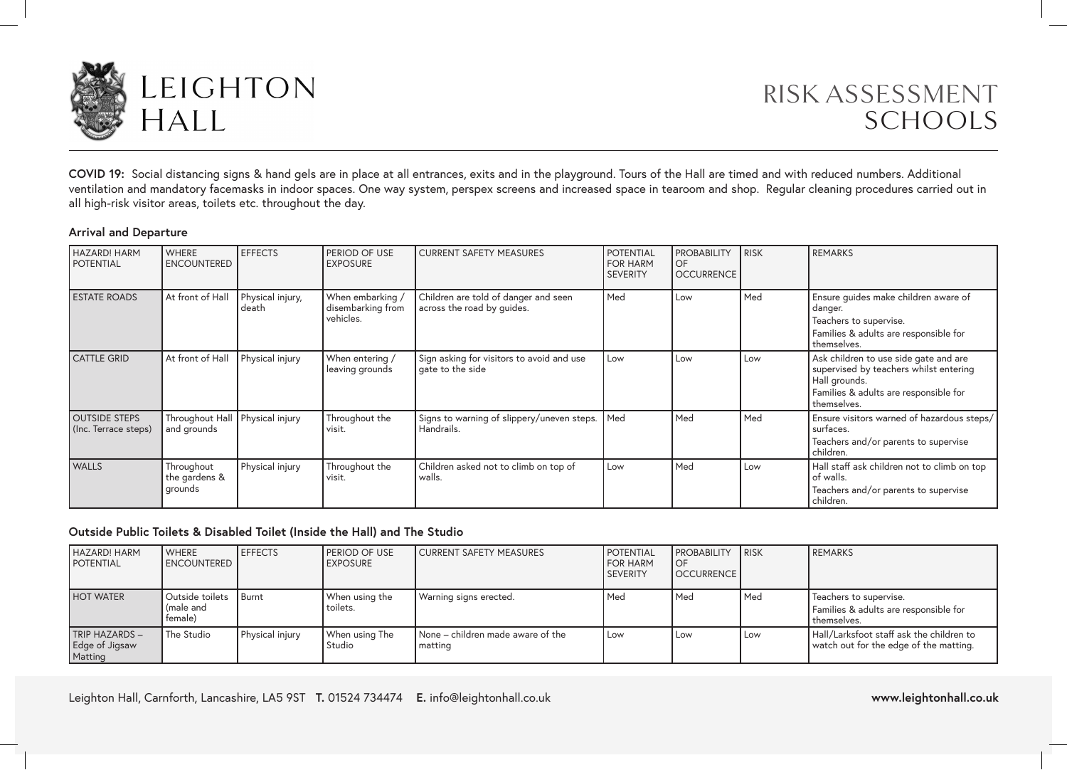

# RISK ASSESSMENT SCHOOLS

**COVID 19:** Social distancing signs & hand gels are in place at all entrances, exits and in the playground. Tours of the Hall are timed and with reduced numbers. Additional ventilation and mandatory facemasks in indoor spaces. One way system, perspex screens and increased space in tearoom and shop. Regular cleaning procedures carried out in all high-risk visitor areas, toilets etc. throughout the day.

#### **Arrival and Departure**

| <b>HAZARD! HARM</b><br><b>POTENTIAL</b>      | <b>WHERE</b><br><b>ENCOUNTERED</b>               | <b>EFFECTS</b>            | PERIOD OF USE<br><b>EXPOSURE</b>                   | <b>CURRENT SAFETY MEASURES</b>                                     | <b>POTENTIAL</b><br><b>FOR HARM</b><br><b>SEVERITY</b> | <b>PROBABILITY</b><br>l OF<br><b>OCCURRENCE</b> | <b>RISK</b> | <b>REMARKS</b>                                                                                                                                           |
|----------------------------------------------|--------------------------------------------------|---------------------------|----------------------------------------------------|--------------------------------------------------------------------|--------------------------------------------------------|-------------------------------------------------|-------------|----------------------------------------------------------------------------------------------------------------------------------------------------------|
| <b>ESTATE ROADS</b>                          | At front of Hall                                 | Physical injury,<br>death | When embarking /<br>disembarking from<br>vehicles. | Children are told of danger and seen<br>across the road by quides. | Med                                                    | Low                                             | Med         | Ensure guides make children aware of<br>danger.<br>Teachers to supervise.<br>Families & adults are responsible for<br>themselves.                        |
| <b>CATTLE GRID</b>                           | At front of Hall                                 | Physical injury           | When entering /<br>leaving grounds                 | Sign asking for visitors to avoid and use<br>gate to the side      | Low                                                    | Low                                             | Low         | Ask children to use side gate and are<br>supervised by teachers whilst entering<br>Hall grounds.<br>Families & adults are responsible for<br>themselves. |
| <b>OUTSIDE STEPS</b><br>(Inc. Terrace steps) | Throughout Hall   Physical injury<br>and grounds |                           | Throughout the<br>visit.                           | Signs to warning of slippery/uneven steps.   Med<br>Handrails.     |                                                        | Med                                             | Med         | Ensure visitors warned of hazardous steps/<br>surfaces.<br>Teachers and/or parents to supervise<br>children.                                             |
| <b>WALLS</b>                                 | Throughout<br>the gardens &<br>grounds           | Physical injury           | Throughout the<br>visit.                           | Children asked not to climb on top of<br>walls.                    | Low                                                    | Med                                             | Low         | Hall staff ask children not to climb on top<br>of walls.<br>Teachers and/or parents to supervise<br>children.                                            |

#### **Outside Public Toilets & Disabled Toilet (Inside the Hall) and The Studio**

| <b>HAZARD! HARM</b><br><b>POTENTIAL</b>            | <b>WHERE</b><br><b>I ENCOUNTERED</b>    | <b>EFFECTS</b>  | <b>I PERIOD OF USE</b><br><b>LEXPOSURE</b> | CURRENT SAFETY MEASURES                      | <b>POTENTIAL</b><br><b>I</b> FOR HARM<br><b>SEVERITY</b> | <b>PROBABILITY</b><br><b>OF</b><br><b>I OCCURRENCE</b> | <b>IRISK</b> | REMARKS                                                                            |
|----------------------------------------------------|-----------------------------------------|-----------------|--------------------------------------------|----------------------------------------------|----------------------------------------------------------|--------------------------------------------------------|--------------|------------------------------------------------------------------------------------|
| <b>HOT WATER</b>                                   | Outside toilets<br>(male and<br>female) | l Burnt         | When using the<br>toilets.                 | Warning signs erected.                       | Med                                                      | Med                                                    | Med          | Teachers to supervise.<br>Families & adults are responsible for<br>themselves.     |
| <b>TRIP HAZARDS -</b><br>Edge of Jigsaw<br>Matting | The Studio                              | Physical injury | When using The<br>Studio                   | None – children made aware of the<br>matting | Low                                                      | Low                                                    | Low          | Hall/Larksfoot staff ask the children to<br>watch out for the edge of the matting. |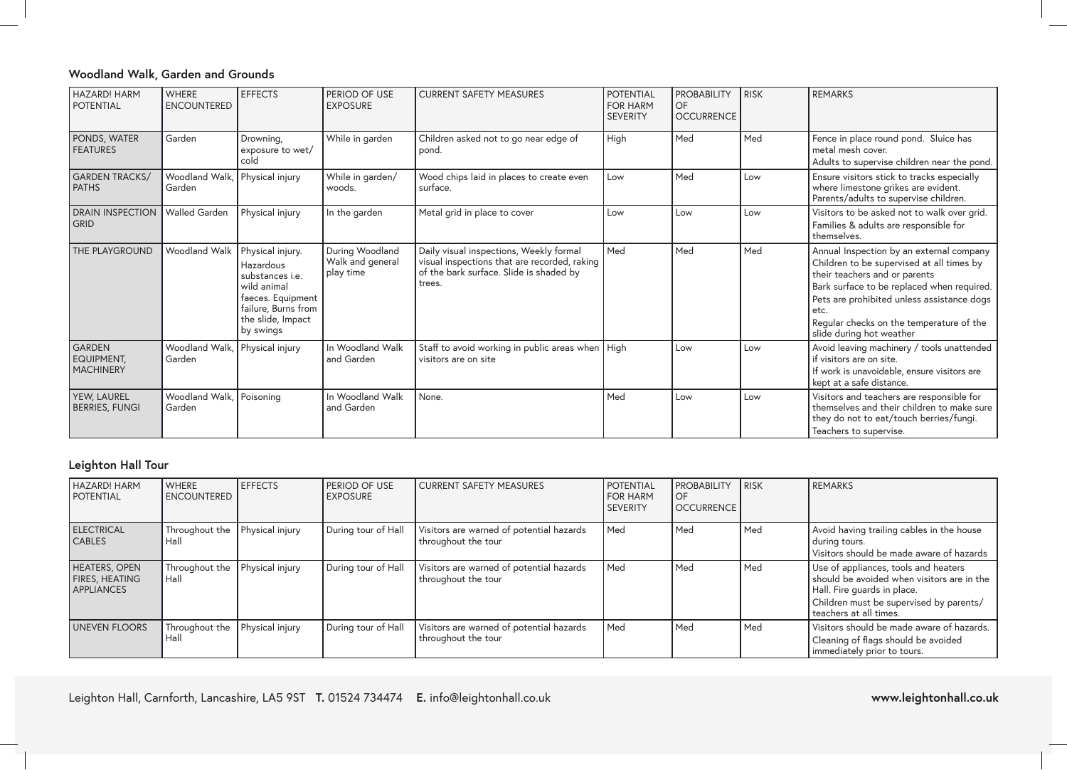# **Woodland Walk, Garden and Grounds**

| <b>HAZARD! HARM</b><br><b>POTENTIAL</b>                | WHERE<br><b>ENCOUNTERED</b>              | <b>EFFECTS</b>                                                                                                                                              | PERIOD OF USE<br><b>EXPOSURE</b>                 | <b>CURRENT SAFETY MEASURES</b>                                                                                                               | <b>POTENTIAL</b><br><b>FOR HARM</b><br><b>SEVERITY</b> | <b>PROBABILITY</b><br>OF<br><b>OCCURRENCE</b> | <b>RISK</b> | <b>REMARKS</b>                                                                                                                                                                                                                                                                                     |
|--------------------------------------------------------|------------------------------------------|-------------------------------------------------------------------------------------------------------------------------------------------------------------|--------------------------------------------------|----------------------------------------------------------------------------------------------------------------------------------------------|--------------------------------------------------------|-----------------------------------------------|-------------|----------------------------------------------------------------------------------------------------------------------------------------------------------------------------------------------------------------------------------------------------------------------------------------------------|
| PONDS, WATER<br><b>FEATURES</b>                        | Garden                                   | Drowning,<br>exposure to wet/<br>cold                                                                                                                       | While in garden                                  | Children asked not to go near edge of<br>pond.                                                                                               | High                                                   | Med                                           | Med         | Fence in place round pond. Sluice has<br>metal mesh cover.<br>Adults to supervise children near the pond.                                                                                                                                                                                          |
| <b>GARDEN TRACKS/</b><br><b>PATHS</b>                  | Woodland Walk, Physical injury<br>Garden |                                                                                                                                                             | While in garden/<br>woods.                       | Wood chips laid in places to create even<br>surface.                                                                                         | Low                                                    | Med                                           | Low         | Ensure visitors stick to tracks especially<br>where limestone grikes are evident.<br>Parents/adults to supervise children.                                                                                                                                                                         |
| <b>DRAIN INSPECTION</b><br><b>GRID</b>                 | <b>Walled Garden</b>                     | Physical injury                                                                                                                                             | In the garden                                    | Metal grid in place to cover                                                                                                                 | Low                                                    | Low                                           | Low         | Visitors to be asked not to walk over grid.<br>Families & adults are responsible for<br>themselves.                                                                                                                                                                                                |
| THE PLAYGROUND                                         | Woodland Walk                            | Physical injury.<br><b>Hazardous</b><br>substances <i>i.e.</i><br>wild animal<br>faeces. Equipment<br>failure, Burns from<br>the slide, Impact<br>by swings | During Woodland<br>Walk and general<br>play time | Daily visual inspections, Weekly formal<br>visual inspections that are recorded, raking<br>of the bark surface. Slide is shaded by<br>trees. | Med                                                    | Med                                           | Med         | Annual Inspection by an external company<br>Children to be supervised at all times by<br>their teachers and or parents<br>Bark surface to be replaced when required.<br>Pets are prohibited unless assistance dogs<br>etc.<br>Regular checks on the temperature of the<br>slide during hot weather |
| <b>GARDEN</b><br><b>EQUIPMENT.</b><br><b>MACHINERY</b> | Woodland Walk,<br>Garden                 | Physical injury                                                                                                                                             | In Woodland Walk<br>and Garden                   | Staff to avoid working in public areas when   High<br>visitors are on site                                                                   |                                                        | Low                                           | Low         | Avoid leaving machinery / tools unattended<br>if visitors are on site.<br>If work is unavoidable, ensure visitors are<br>kept at a safe distance.                                                                                                                                                  |
| YEW, LAUREL<br><b>BERRIES, FUNGI</b>                   | Woodland Walk, Poisoning<br>Garden       |                                                                                                                                                             | In Woodland Walk<br>and Garden                   | None.                                                                                                                                        | Med                                                    | Low                                           | Low         | Visitors and teachers are responsible for<br>themselves and their children to make sure<br>they do not to eat/touch berries/fungi.<br>Teachers to supervise.                                                                                                                                       |

# **Leighton Hall Tour**

| HAZARD! HARM<br><b>POTENTIAL</b>                                   | <b>WHERE</b><br><b>ENCOUNTERED</b> | <b>EFFECTS</b>  | <b>PERIOD OF USE</b><br><b>LEXPOSURE</b> | CURRENT SAFETY MEASURES                                         | <i><b>POTENTIAL</b></i><br><b>I</b> FOR HARM<br>l SEVERITY | <b>PROBABILITY</b><br>l OF<br><b>OCCURRENCE</b> | <b>IRISK</b> | REMARKS                                                                                                                                                                                  |
|--------------------------------------------------------------------|------------------------------------|-----------------|------------------------------------------|-----------------------------------------------------------------|------------------------------------------------------------|-------------------------------------------------|--------------|------------------------------------------------------------------------------------------------------------------------------------------------------------------------------------------|
| <b>ELECTRICAL</b><br><b>CABLES</b>                                 | Throughout the<br>Hall             | Physical injury | During tour of Hall                      | Visitors are warned of potential hazards<br>throughout the tour | l Med                                                      | l Med                                           | l Med        | Avoid having trailing cables in the house<br>during tours.<br>Visitors should be made aware of hazards                                                                                   |
| <b>HEATERS, OPEN</b><br><b>FIRES, HEATING</b><br><b>APPLIANCES</b> | Throughout the<br>l Hall           | Physical injury | During tour of Hall                      | Visitors are warned of potential hazards<br>throughout the tour | Med                                                        | Med                                             | Med          | Use of appliances, tools and heaters<br>should be avoided when visitors are in the<br>Hall. Fire quards in place.<br>Children must be supervised by parents/<br>I teachers at all times. |
| <b>UNEVEN FLOORS</b>                                               | Throughout the<br>Hall             | Physical injury | During tour of Hall                      | Visitors are warned of potential hazards<br>throughout the tour | Med                                                        | l Med                                           | Med          | Visitors should be made aware of hazards.<br>Cleaning of flags should be avoided<br>immediately prior to tours.                                                                          |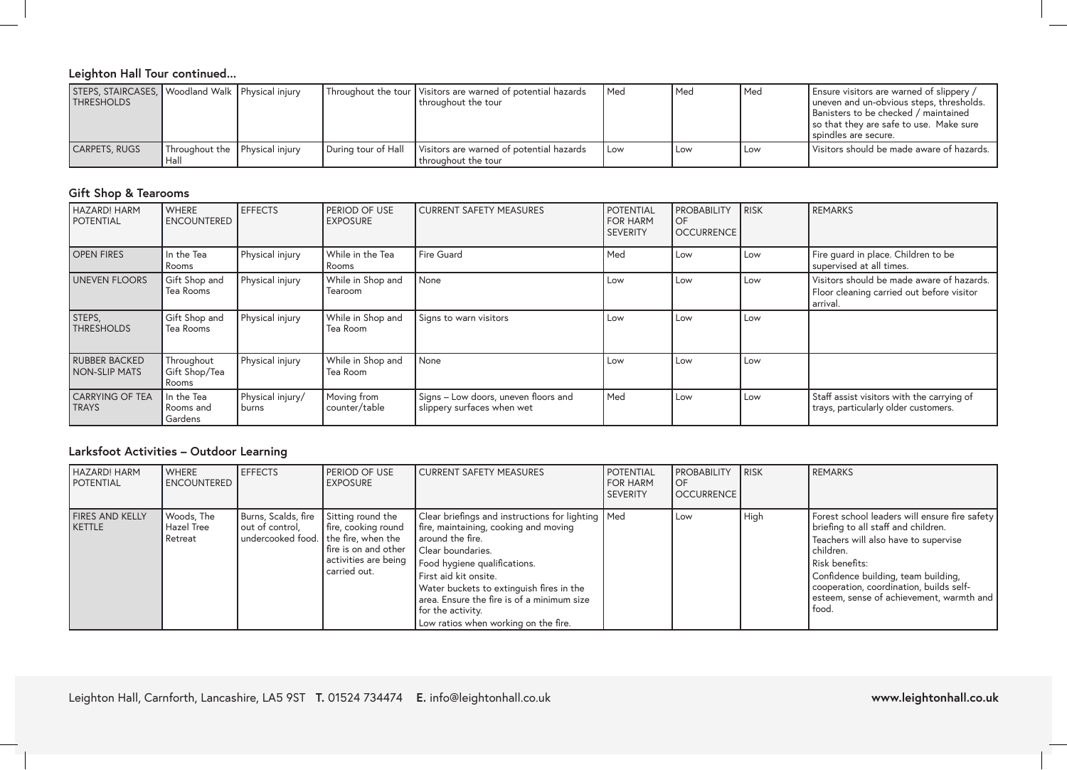# **Leighton Hall Tour continued...**

| STEPS, STAIRCASES, Woodland Walk Physical injury<br><b>THRESHOLDS</b> |                                |                     | Throughout the tour   Visitors are warned of potential hazards<br>l throuahout the tour | l Med | l Med | Med | Ensure visitors are warned of slippery /<br>uneven and un-obvious steps, thresholds.<br>Banisters to be checked / maintained<br>so that they are safe to use. Make sure<br>I spindles are secure. |
|-----------------------------------------------------------------------|--------------------------------|---------------------|-----------------------------------------------------------------------------------------|-------|-------|-----|---------------------------------------------------------------------------------------------------------------------------------------------------------------------------------------------------|
| CARPETS, RUGS                                                         | Throughout the Physical injury | During tour of Hall | Visitors are warned of potential hazards<br>throuahout the tour                         | l Low | l Low | Low | Visitors should be made aware of hazards.                                                                                                                                                         |

# **Gift Shop & Tearooms**

| <b>HAZARD! HARM</b><br><b>POTENTIAL</b> | <b>WHERE</b><br><b>ENCOUNTERED</b>   | <b>EFFECTS</b>            | PERIOD OF USE<br><b>LEXPOSURE</b> | CURRENT SAFETY MEASURES                                            | <b>POTENTIAL</b><br><b>FOR HARM</b><br><b>SEVERITY</b> | <b>PROBABILITY</b><br><b>OF</b><br><b>OCCURRENCE</b> | <b>RISK</b> | <b>REMARKS</b>                                                                                     |
|-----------------------------------------|--------------------------------------|---------------------------|-----------------------------------|--------------------------------------------------------------------|--------------------------------------------------------|------------------------------------------------------|-------------|----------------------------------------------------------------------------------------------------|
| <b>OPEN FIRES</b>                       | In the Tea<br>Rooms                  | Physical injury           | While in the Tea<br>Rooms         | <b>Fire Guard</b>                                                  | Med                                                    | Low                                                  | Low         | Fire guard in place. Children to be<br>supervised at all times.                                    |
| UNEVEN FLOORS                           | Gift Shop and<br>Tea Rooms           | Physical injury           | While in Shop and<br>Tearoom      | None                                                               | Low                                                    | Low                                                  | Low         | Visitors should be made aware of hazards.<br>Floor cleaning carried out before visitor<br>arrival. |
| STEPS,<br><b>THRESHOLDS</b>             | Gift Shop and<br>Tea Rooms           | Physical injury           | While in Shop and<br>Tea Room     | Signs to warn visitors                                             | Low                                                    | Low                                                  | Low         |                                                                                                    |
| <b>RUBBER BACKED</b><br>I NON-SLIP MATS | Throughout<br>Gift Shop/Tea<br>Rooms | Physical injury           | While in Shop and<br>Tea Room     | None                                                               | Low                                                    | Low                                                  | Low         |                                                                                                    |
| <b>CARRYING OF TEA</b><br><b>TRAYS</b>  | In the Tea<br>Rooms and<br>Gardens   | Physical injury/<br>burns | Moving from<br>counter/table      | Signs – Low doors, uneven floors and<br>slippery surfaces when wet | Med                                                    | Low                                                  | Low         | Staff assist visitors with the carrying of<br>trays, particularly older customers.                 |

# **Larksfoot Activities – Outdoor Learning**

| <b>HAZARD! HARM</b><br><b>POTENTIAL</b> | <b>WHERE</b><br><b>LENCOUNTERED</b> | <b>EFFECTS</b>                                                                 | PERIOD OF USE<br><b>EXPOSURE</b>                                                                         | CURRENT SAFETY MEASURES                                                                                                                                                                                                                                                                                                                                 | <b>POTENTIAL</b><br><b>I FOR HARM</b><br><b>SEVERITY</b> | <b>PROBABILITY</b><br>OF<br><b>OCCURRENCE</b> | <b>IRISK</b> | REMARKS                                                                                                                                                                                                                                                                                              |
|-----------------------------------------|-------------------------------------|--------------------------------------------------------------------------------|----------------------------------------------------------------------------------------------------------|---------------------------------------------------------------------------------------------------------------------------------------------------------------------------------------------------------------------------------------------------------------------------------------------------------------------------------------------------------|----------------------------------------------------------|-----------------------------------------------|--------------|------------------------------------------------------------------------------------------------------------------------------------------------------------------------------------------------------------------------------------------------------------------------------------------------------|
| <b>FIRES AND KELLY</b><br><b>KETTLE</b> | Woods, The<br>Hazel Tree<br>Retreat | Burns, Scalds, fire<br>out of control.<br>undercooked food. the fire, when the | Sitting round the<br>fire, cooking round<br>fire is on and other<br>activities are being<br>carried out. | Clear briefings and instructions for lighting   Med<br>fire, maintaining, cooking and moving<br>l around the fire.<br>Clear boundaries.<br>Food hygiene qualifications.<br>First aid kit onsite.<br>Water buckets to extinguish fires in the<br>area. Ensure the fire is of a minimum size<br>for the activity.<br>Low ratios when working on the fire. |                                                          | Low                                           | High         | Forest school leaders will ensure fire safety<br>briefing to all staff and children.<br>Teachers will also have to supervise<br>children.<br>Risk benefits:<br>Confidence building, team building,<br>cooperation, coordination, builds self-<br>esteem, sense of achievement, warmth and  <br>food. |